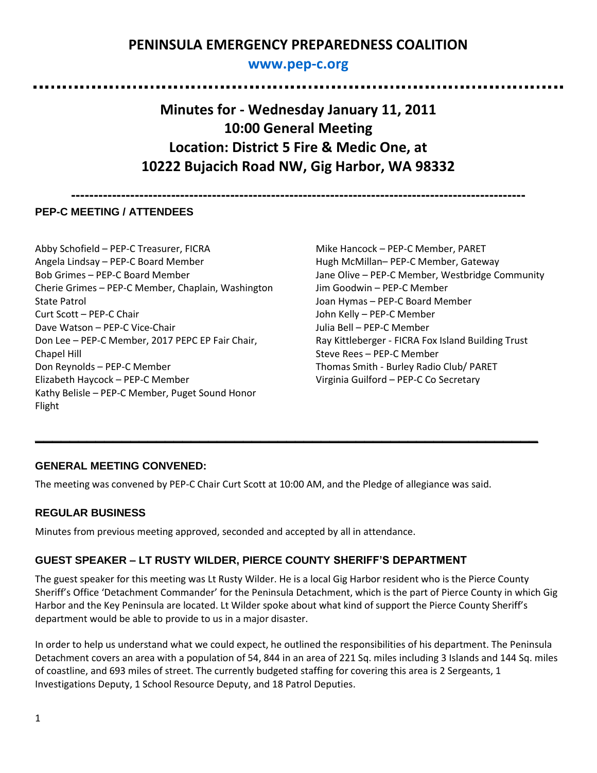# **PENINSULA EMERGENCY PREPAREDNESS COALITION**

## **[www.pep-c.org](http://www.pep-c.org/)**

**Minutes for - Wednesday January 11, 2011 10:00 General Meeting Location: District 5 Fire & Medic One, at 10222 Bujacich Road NW, Gig Harbor, WA 98332**

**----------------------------------------------------------------------------------------------------**

### **PEP-C MEETING / ATTENDEES**

. . . . . . . . . . . .

Abby Schofield – PEP-C Treasurer, FICRA Angela Lindsay – PEP-C Board Member Bob Grimes – PEP-C Board Member Cherie Grimes – PEP-C Member, Chaplain, Washington State Patrol Curt Scott – PEP-C Chair Dave Watson – PEP-C Vice-Chair Don Lee – PEP-C Member, 2017 PEPC EP Fair Chair, Chapel Hill Don Reynolds – PEP-C Member Elizabeth Haycock – PEP-C Member Kathy Belisle – PEP-C Member, Puget Sound Honor Flight

Mike Hancock – PEP-C Member, PARET Hugh McMillan– PEP-C Member, Gateway Jane Olive – PEP-C Member, Westbridge Community Jim Goodwin – PEP-C Member Joan Hymas – PEP-C Board Member John Kelly – PEP-C Member Julia Bell – PEP-C Member Ray Kittleberger - FICRA Fox Island Building Trust Steve Rees – PEP-C Member Thomas Smith - Burley Radio Club/ PARET Virginia Guilford – PEP-C Co Secretary

................................

### **GENERAL MEETING CONVENED:**

The meeting was convened by PEP-C Chair Curt Scott at 10:00 AM, and the Pledge of allegiance was said.

**\_\_\_\_\_\_\_\_\_\_\_\_\_\_\_\_\_\_\_\_\_\_\_\_\_\_\_\_\_\_\_\_\_\_\_\_\_\_\_\_\_\_\_\_\_\_\_\_\_\_\_\_\_\_\_\_\_\_**

### **REGULAR BUSINESS**

Minutes from previous meeting approved, seconded and accepted by all in attendance.

### **GUEST SPEAKER – LT RUSTY WILDER, PIERCE COUNTY SHERIFF'S DEPARTMENT**

The guest speaker for this meeting was Lt Rusty Wilder. He is a local Gig Harbor resident who is the Pierce County Sheriff's Office 'Detachment Commander' for the Peninsula Detachment, which is the part of Pierce County in which Gig Harbor and the Key Peninsula are located. Lt Wilder spoke about what kind of support the Pierce County Sheriff's department would be able to provide to us in a major disaster.

In order to help us understand what we could expect, he outlined the responsibilities of his department. The Peninsula Detachment covers an area with a population of 54, 844 in an area of 221 Sq. miles including 3 Islands and 144 Sq. miles of coastline, and 693 miles of street. The currently budgeted staffing for covering this area is 2 Sergeants, 1 Investigations Deputy, 1 School Resource Deputy, and 18 Patrol Deputies.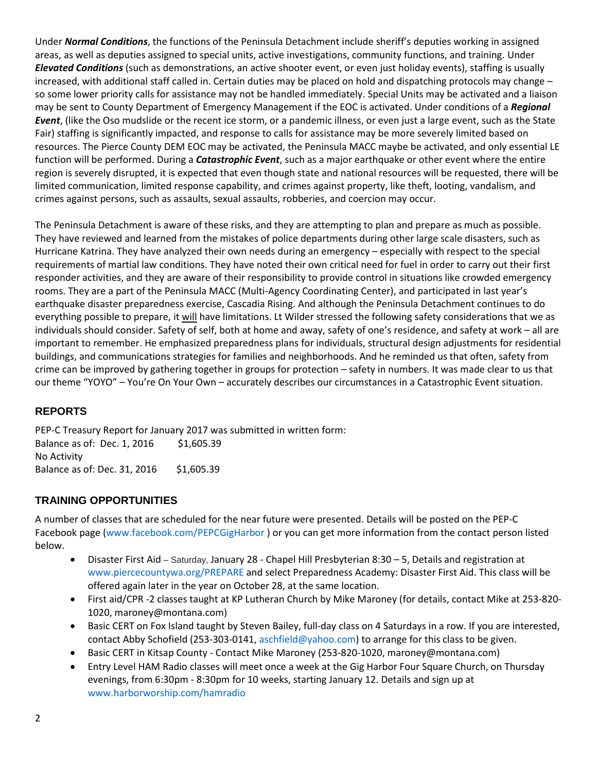Under *Normal Conditions*, the functions of the Peninsula Detachment include sheriff's deputies working in assigned areas, as well as deputies assigned to special units, active investigations, community functions, and training. Under *Elevated Conditions* (such as demonstrations, an active shooter event, or even just holiday events), staffing is usually increased, with additional staff called in. Certain duties may be placed on hold and dispatching protocols may change – so some lower priority calls for assistance may not be handled immediately. Special Units may be activated and a liaison may be sent to County Department of Emergency Management if the EOC is activated. Under conditions of a *Regional Event*, (like the Oso mudslide or the recent ice storm, or a pandemic illness, or even just a large event, such as the State Fair) staffing is significantly impacted, and response to calls for assistance may be more severely limited based on resources. The Pierce County DEM EOC may be activated, the Peninsula MACC maybe be activated, and only essential LE function will be performed. During a *Catastrophic Event*, such as a major earthquake or other event where the entire region is severely disrupted, it is expected that even though state and national resources will be requested, there will be limited communication, limited response capability, and crimes against property, like theft, looting, vandalism, and crimes against persons, such as assaults, sexual assaults, robberies, and coercion may occur.

The Peninsula Detachment is aware of these risks, and they are attempting to plan and prepare as much as possible. They have reviewed and learned from the mistakes of police departments during other large scale disasters, such as Hurricane Katrina. They have analyzed their own needs during an emergency – especially with respect to the special requirements of martial law conditions. They have noted their own critical need for fuel in order to carry out their first responder activities, and they are aware of their responsibility to provide control in situations like crowded emergency rooms. They are a part of the Peninsula MACC (Multi-Agency Coordinating Center), and participated in last year's earthquake disaster preparedness exercise, Cascadia Rising. And although the Peninsula Detachment continues to do everything possible to prepare, it will have limitations. Lt Wilder stressed the following safety considerations that we as individuals should consider. Safety of self, both at home and away, safety of one's residence, and safety at work – all are important to remember. He emphasized preparedness plans for individuals, structural design adjustments for residential buildings, and communications strategies for families and neighborhoods. And he reminded us that often, safety from crime can be improved by gathering together in groups for protection – safety in numbers. It was made clear to us that our theme "YOYO" – You're On Your Own – accurately describes our circumstances in a Catastrophic Event situation.

### **REPORTS**

PEP-C Treasury Report for January 2017 was submitted in written form: Balance as of: Dec. 1, 2016 \$1,605.39 No Activity Balance as of: Dec. 31, 2016 \$1,605.39

### **TRAINING OPPORTUNITIES**

A number of classes that are scheduled for the near future were presented. Details will be posted on the PEP-C Facebook page [\(www.facebook.com/PEPCGigHarbor](http://www.facebook.com/PEPCGigHarbor) ) or you can get more information from the contact person listed below.

- Disaster First Aid Saturday, January 28 Chapel Hill Presbyterian 8:30 5, Details and registration at [www.piercecountywa.org/PREPARE](http://www.piercecountywa.org/PREPARE) and select Preparedness Academy: Disaster First Aid. This class will be offered again later in the year on October 28, at the same location.
- First aid/CPR -2 classes taught at KP Lutheran Church by Mike Maroney (for details, contact Mike at 253-820- 1020, maroney@montana.com)
- Basic CERT on Fox Island taught by Steven Bailey, full-day class on 4 Saturdays in a row. If you are interested, contact Abby Schofield (253-303-0141, [aschfield@yahoo.com\)](mailto:aschfield@yahoo.com) to arrange for this class to be given.
- Basic CERT in Kitsap County Contact Mike Maroney (253-820-1020, maroney@montana.com)
- Entry Level HAM Radio classes will meet once a week at the Gig Harbor Four Square Church, on Thursday evenings, from 6:30pm - 8:30pm for 10 weeks, starting January 12. Details and sign up at [www.harborworship.com/hamradio](http://www.harborworship.com/hamradio)